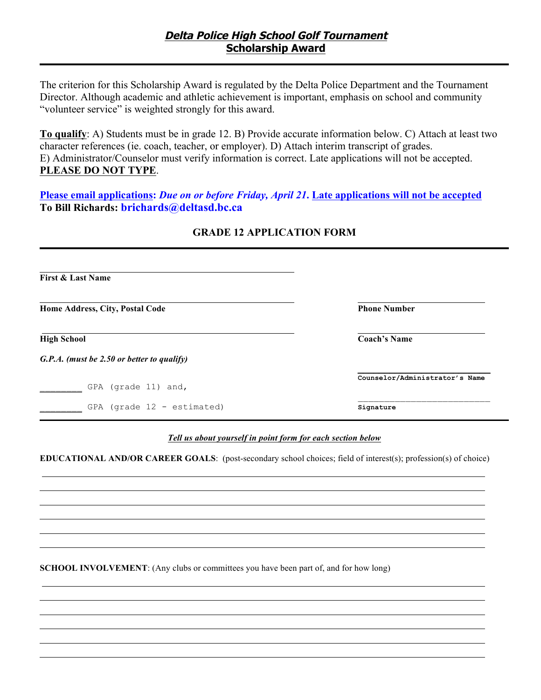The criterion for this Scholarship Award is regulated by the Delta Police Department and the Tournament Director. Although academic and athletic achievement is important, emphasis on school and community "volunteer service" is weighted strongly for this award.

**To qualify**: A) Students must be in grade 12. B) Provide accurate information below. C) Attach at least two character references (ie. coach, teacher, or employer). D) Attach interim transcript of grades. E) Administrator/Counselor must verify information is correct. Late applications will not be accepted. **PLEASE DO NOT TYPE**.

**Please email applications:** *Due on or before Friday, April 21***. Late applications will not be accepted To Bill Richards: brichards@deltasd.bc.ca**

| <b>First &amp; Last Name</b>               |                                |
|--------------------------------------------|--------------------------------|
| Home Address, City, Postal Code            | <b>Phone Number</b>            |
| <b>High School</b>                         | <b>Coach's Name</b>            |
| G.P.A. (must be 2.50 or better to qualify) |                                |
| GPA (grade 11) and,                        | Counselor/Administrator's Name |
| GPA (grade $12$ - estimated)               | Signature                      |

## **GRADE 12 APPLICATION FORM**

## *Tell us about yourself in point form for each section below*

**EDUCATIONAL AND/OR CAREER GOALS**: (post-secondary school choices; field of interest(s); profession(s) of choice)

**SCHOOL INVOLVEMENT**: (Any clubs or committees you have been part of, and for how long)